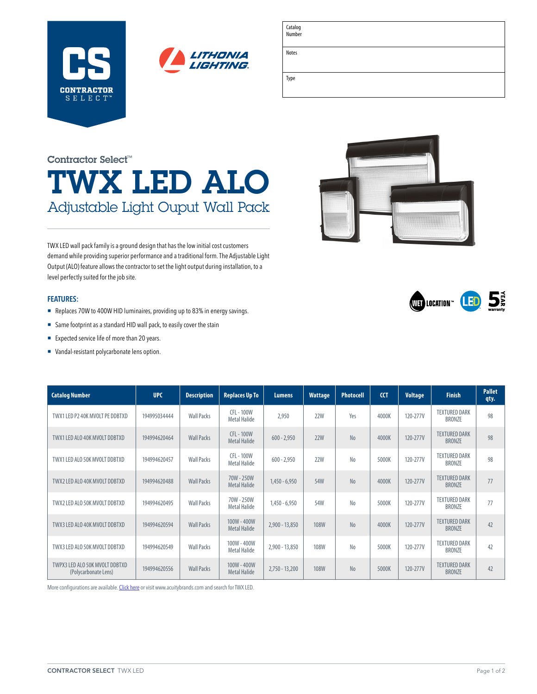

| Catalog<br>Number |  |
|-------------------|--|
| Notes             |  |
|                   |  |
| Type              |  |
|                   |  |

# TWX LED ALO Adjustable Light Ouput Wall Pack Contractor Select™

TWX LED wall pack family is a ground design that has the low initial cost customers demand while providing superior performance and a traditional form. The Adjustable Light Output (ALO) feature allows the contractor to set the light output during installation, to a level perfectly suited for the job site.

### **FEATURES:**

- Replaces 70W to 400W HID luminaires, providing up to 83% in energy savings.
- Same footprint as a standard HID wall pack, to easily cover the stain
- Expected service life of more than 20 years.
- ¡ Vandal-resistant polycarbonate lens option.





| <b>Catalog Number</b>                                  | <b>UPC</b>   | <b>Description</b> | <b>Replaces Up To</b>                  | <b>Lumens</b>    | <b>Wattage</b> | Photocell      | <b>CCT</b> | <b>Voltage</b> | <b>Finish</b>                         | <b>Pallet</b><br>qty. |
|--------------------------------------------------------|--------------|--------------------|----------------------------------------|------------------|----------------|----------------|------------|----------------|---------------------------------------|-----------------------|
| TWX1 LED P2 40K MVOLT PE DDBTXD                        | 194995034444 | <b>Wall Packs</b>  | CFL - 100W<br>Metal Halide             | 2,950            | <b>22W</b>     | Yes            | 4000K      | 120-277V       | <b>TEXTURED DARK</b><br><b>BRONZE</b> | 98                    |
| TWX1 LED ALO 40K MVOLT DDBTXD                          | 194994620464 | <b>Wall Packs</b>  | <b>CFL-100W</b><br><b>Metal Halide</b> | $600 - 2.950$    | 22W            | N <sub>0</sub> | 4000K      | 120-277V       | <b>TEXTURED DARK</b><br><b>BRONZE</b> | 98                    |
| TWX1 LED ALO 50K MVOLT DDBTXD                          | 194994620457 | <b>Wall Packs</b>  | <b>CFL-100W</b><br>Metal Halide        | $600 - 2,950$    | <b>22W</b>     | N <sub>0</sub> | 5000K      | 120-277V       | <b>TEXTURED DARK</b><br><b>BRONZE</b> | 98                    |
| TWX2 LED ALO 40K MVOLT DDBTXD                          | 194994620488 | <b>Wall Packs</b>  | 70W - 250W<br><b>Metal Halide</b>      | $1,450 - 6,950$  | 54W            | No             | 4000K      | 120-277V       | <b>TEXTURED DARK</b><br><b>BRONZE</b> | 77                    |
| TWX2 LED ALO 50K MVOLT DDBTXD                          | 194994620495 | <b>Wall Packs</b>  | 70W - 250W<br>Metal Halide             | $1,450 - 6,950$  | 54W            | N <sub>0</sub> | 5000K      | 120-277V       | <b>TEXTURED DARK</b><br><b>BRONZE</b> | 77                    |
| TWX3 LED ALO 40K MVOLT DDBTXD                          | 194994620594 | <b>Wall Packs</b>  | 100W - 400W<br><b>Metal Halide</b>     | $2,900 - 13,850$ | <b>108W</b>    | N <sub>0</sub> | 4000K      | 120-277V       | <b>TEXTURED DARK</b><br><b>BRONZE</b> | 42                    |
| TWX3 LED ALO 50K MVOLT DDBTXD                          | 194994620549 | <b>Wall Packs</b>  | 100W - 400W<br>Metal Halide            | 2,900 - 13,850   | <b>108W</b>    | N <sub>0</sub> | 5000K      | 120-277V       | <b>TEXTURED DARK</b><br><b>BRONZE</b> | 42                    |
| TWPX3 LED ALO 50K MVOLT DDBTXD<br>(Polycarbonate Lens) | 194994620556 | <b>Wall Packs</b>  | 100W - 400W<br><b>Metal Halide</b>     | $2,750 - 13,200$ | <b>108W</b>    | N <sub>0</sub> | 5000K      | 120-277V       | <b>TEXTURED DARK</b><br><b>BRONZE</b> | 42                    |

More configurations are available. [Click here](https://lithonia.acuitybrands.com/products/detail/1307293/lithonia-lighting/twx-led-glass-wall-packs/twx1-twx2-and-twx3---2950-to-13850-lumens) or visit [www.acuitybrands.com](http://www.acuitybrands.com) and search for TWX LED.